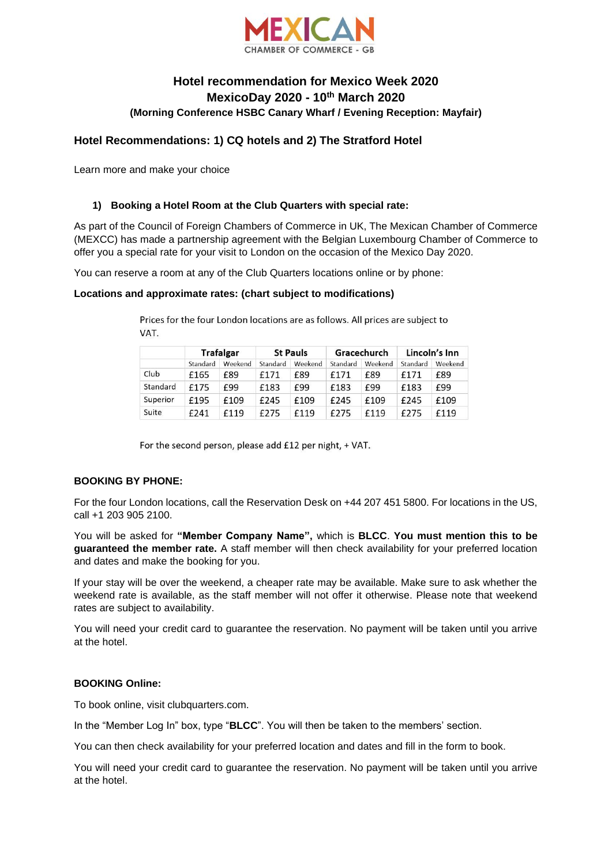

# **Hotel recommendation for Mexico Week 2020 MexicoDay 2020 - 10th March 2020 (Morning Conference HSBC Canary Wharf / Evening Reception: Mayfair)**

# **Hotel Recommendations: 1) CQ hotels and 2) The Stratford Hotel**

Learn more and make your choice

## **1) Booking a Hotel Room at the Club Quarters with special rate:**

As part of the Council of Foreign Chambers of Commerce in UK, The Mexican Chamber of Commerce (MEXCC) has made a partnership agreement with the Belgian Luxembourg Chamber of Commerce to offer you a special rate for your visit to London on the occasion of the Mexico Day 2020.

You can reserve a room at any of the Club Quarters locations online or by phone:

#### **Locations and approximate rates: (chart subject to modifications)**

|          | <b>Trafalgar</b> |         | <b>St Pauls</b> |         | Gracechurch |         | Lincoln's Inn |         |
|----------|------------------|---------|-----------------|---------|-------------|---------|---------------|---------|
|          | Standard         | Weekend | Standard        | Weekend | Standard    | Weekend | Standard      | Weekend |
| Club     | £165             | £89     | £171            | £89     | £171        | £89     | £171          | £89     |
| Standard | £175             | £99     | £183            | £99     | £183        | £99     | £183          | £99     |
| Superior | £195             | £109    | £245            | £109    | £245        | £109    | £245          | £109    |
| Suite    | £241             | £119    | £275            | £119    | £275        | £119    | £275          | £119    |

Prices for the four London locations are as follows. All prices are subject to VAT.

For the second person, please add £12 per night, + VAT.

## **BOOKING BY PHONE:**

For the four London locations, call the Reservation Desk on +44 207 451 5800. For locations in the US, call +1 203 905 2100.

You will be asked for **"Member Company Name",** which is **BLCC**. **You must mention this to be guaranteed the member rate.** A staff member will then check availability for your preferred location and dates and make the booking for you.

If your stay will be over the weekend, a cheaper rate may be available. Make sure to ask whether the weekend rate is available, as the staff member will not offer it otherwise. Please note that weekend rates are subject to availability.

You will need your credit card to guarantee the reservation. No payment will be taken until you arrive at the hotel.

## **BOOKING Online:**

To book online, visit clubquarters.com.

In the "Member Log In" box, type "**BLCC**". You will then be taken to the members' section.

You can then check availability for your preferred location and dates and fill in the form to book.

You will need your credit card to guarantee the reservation. No payment will be taken until you arrive at the hotel.